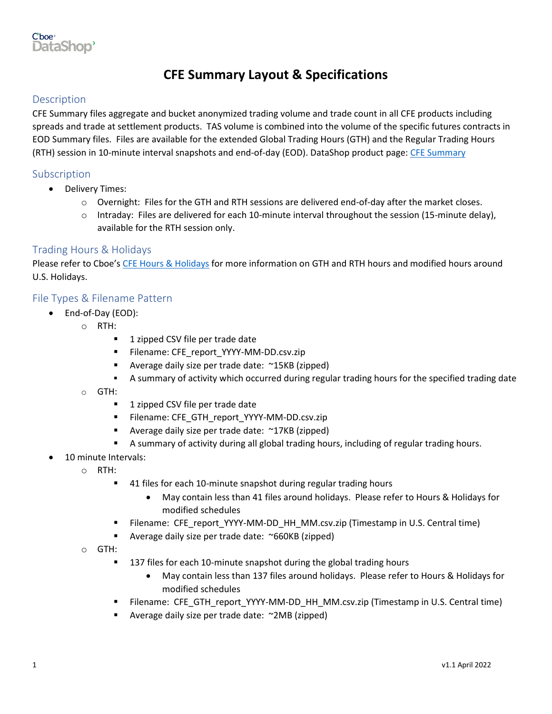

# **CFE Summary Layout & Specifications**

# Description

CFE Summary files aggregate and bucket anonymized trading volume and trade count in all CFE products including spreads and trade at settlement products. TAS volume is combined into the volume of the specific futures contracts in EOD Summary files. Files are available for the extended Global Trading Hours (GTH) and the Regular Trading Hours (RTH) session in 10-minute interval snapshots and end-of-day (EOD). DataShop product page: CFE [Summary](https://datashop.cboe.com/cfe-summary)

#### Subscription

- Delivery Times:
	- $\circ$  Overnight: Files for the GTH and RTH sessions are delivered end-of-day after the market closes.
	- $\circ$  Intraday: Files are delivered for each 10-minute interval throughout the session (15-minute delay), available for the RTH session only.

## Trading Hours & Holidays

Please refer to Cboe's [CFE Hours & Holidays](https://www.cboe.com/about/hours/us-futures/) for more information on GTH and RTH hours and modified hours around U.S. Holidays.

#### File Types & Filename Pattern

- End-of-Day (EOD):
	- o RTH:
		- 1 zipped CSV file per trade date
		- Filename: CFE\_report\_YYYY-MM-DD.csv.zip
		- Average daily size per trade date: ~15KB (zipped)
		- **•** A summary of activity which occurred during regular trading hours for the specified trading date
	- o GTH:
		- 1 zipped CSV file per trade date
		- **E** Filename: CFE\_GTH\_report\_YYYY-MM-DD.csv.zip
		- Average daily size per trade date: ~17KB (zipped)
		- **E** A summary of activity during all global trading hours, including of regular trading hours.
- 10 minute Intervals:
	- o RTH:
		- 41 files for each 10-minute snapshot during regular trading hours
			- May contain less than 41 files around holidays. Please refer to Hours & Holidays for modified schedules
		- Filename: CFE\_report\_YYYY-MM-DD\_HH\_MM.csv.zip (Timestamp in U.S. Central time)
		- Average daily size per trade date: ~660KB (zipped)
	- o GTH:
		- 137 files for each 10-minute snapshot during the global trading hours
			- May contain less than 137 files around holidays. Please refer to Hours & Holidays for modified schedules
		- **E** Filename: CFE\_GTH\_report\_YYYY-MM-DD\_HH\_MM.csv.zip (Timestamp in U.S. Central time)
		- Average daily size per trade date: ~2MB (zipped)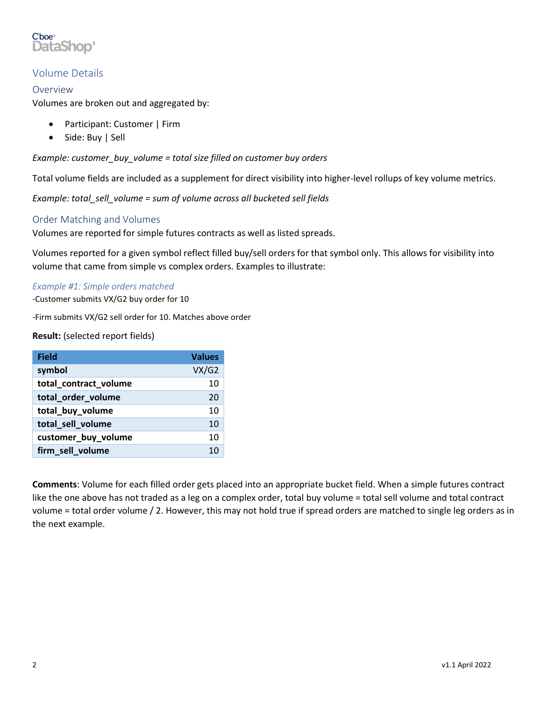

# Volume Details

## Overview

Volumes are broken out and aggregated by:

- Participant: Customer | Firm
- Side: Buy | Sell

*Example: customer\_buy\_volume = total size filled on customer buy orders*

Total volume fields are included as a supplement for direct visibility into higher-level rollups of key volume metrics.

*Example: total\_sell\_volume = sum of volume across all bucketed sell fields*

## Order Matching and Volumes

Volumes are reported for simple futures contracts as well as listed spreads.

Volumes reported for a given symbol reflect filled buy/sell orders for that symbol only. This allows for visibility into volume that came from simple vs complex orders. Examples to illustrate:

#### *Example #1: Simple orders matched*

-Customer submits VX/G2 buy order for 10

-Firm submits VX/G2 sell order for 10. Matches above order

**Result:** (selected report fields)

| <b>Field</b>          | <b>Values</b> |
|-----------------------|---------------|
| symbol                | VX/G2         |
| total_contract_volume | 10            |
| total_order_volume    | 20            |
| total buy volume      | 10            |
| total_sell_volume     | 10            |
| customer_buy_volume   | 10            |
| firm_sell_volume      | 10            |

**Comments**: Volume for each filled order gets placed into an appropriate bucket field. When a simple futures contract like the one above has not traded as a leg on a complex order, total buy volume = total sell volume and total contract volume = total order volume / 2. However, this may not hold true if spread orders are matched to single leg orders as in the next example.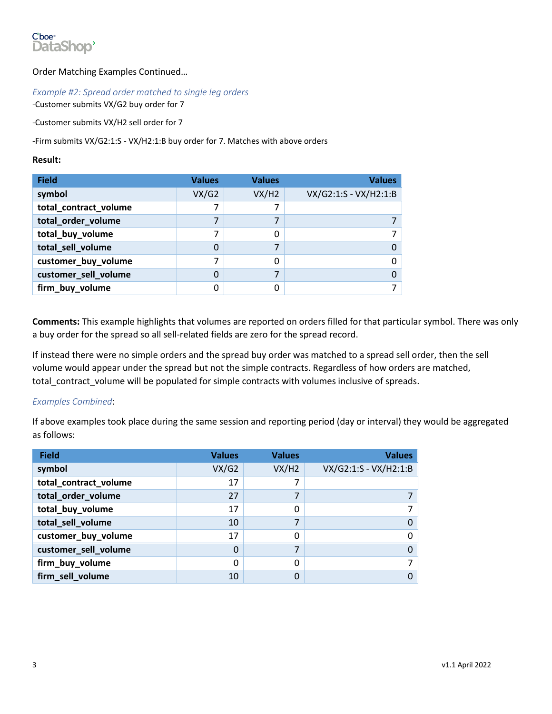

## Order Matching Examples Continued…

#### *Example #2: Spread order matched to single leg orders*

-Customer submits VX/G2 buy order for 7

-Customer submits VX/H2 sell order for 7

-Firm submits VX/G2:1:S - VX/H2:1:B buy order for 7. Matches with above orders

#### **Result:**

| <b>Field</b>          | <b>Values</b> | <b>Values</b> | <b>Values</b>         |
|-----------------------|---------------|---------------|-----------------------|
| symbol                | VX/G2         | VX/H2         | VX/G2:1:S - VX/H2:1:B |
| total_contract_volume |               |               |                       |
| total_order_volume    |               |               |                       |
| total_buy_volume      |               | ი             |                       |
| total_sell_volume     |               |               |                       |
| customer_buy_volume   |               | ი             |                       |
| customer_sell_volume  |               |               |                       |
| firm_buy_volume       |               |               |                       |

**Comments:** This example highlights that volumes are reported on orders filled for that particular symbol. There was only a buy order for the spread so all sell-related fields are zero for the spread record.

If instead there were no simple orders and the spread buy order was matched to a spread sell order, then the sell volume would appear under the spread but not the simple contracts. Regardless of how orders are matched, total contract volume will be populated for simple contracts with volumes inclusive of spreads.

#### *Examples Combined*:

If above examples took place during the same session and reporting period (day or interval) they would be aggregated as follows:

| <b>Field</b>          | <b>Values</b> | <b>Values</b> | <b>Values</b>         |
|-----------------------|---------------|---------------|-----------------------|
| symbol                | VX/G2         | VX/H2         | VX/G2:1:S - VX/H2:1:B |
| total_contract_volume | 17            |               |                       |
| total_order_volume    | 27            | 7             |                       |
| total_buy_volume      | 17            |               |                       |
| total_sell_volume     | 10            |               |                       |
| customer_buy_volume   | 17            |               | 0                     |
| customer_sell_volume  |               | ⇁             |                       |
| firm_buy_volume       |               |               |                       |
| firm_sell_volume      | 10            |               |                       |